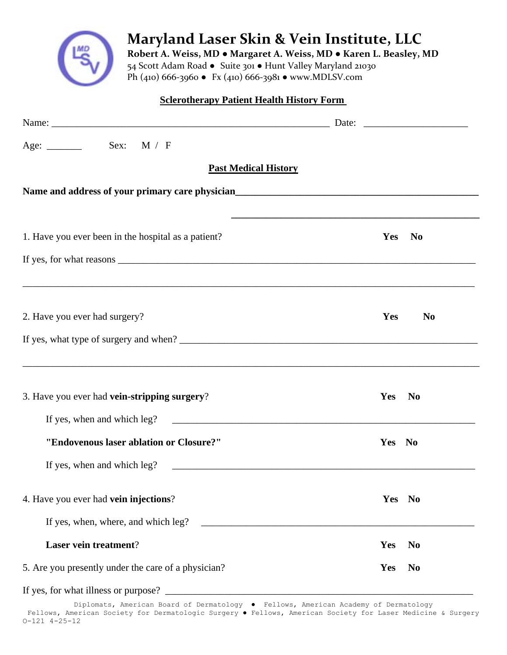

 **Maryland Laser Skin & Vein Institute, LLC**

 **Robert A. Weiss, MD ● Margaret A. Weiss, MD ● Karen L. Beasley, MD** 54 Scott Adam Road ● Suite 301 ● Hunt Valley Maryland 21030 Ph (410) 666‐3960 ● Fx (410) 666‐3981 ● www.MDLSV.com

## **Sclerotherapy Patient Health History Form**

| <b>Past Medical History</b>                                                                               |                              |
|-----------------------------------------------------------------------------------------------------------|------------------------------|
| Name and address of your primary care physician<br><u>Name and address of your primary care physician</u> |                              |
|                                                                                                           |                              |
| 1. Have you ever been in the hospital as a patient?                                                       | Yes<br><b>No</b>             |
|                                                                                                           |                              |
| 2. Have you ever had surgery?                                                                             | Yes<br>N <sub>0</sub>        |
|                                                                                                           |                              |
| 3. Have you ever had vein-stripping surgery?                                                              | <b>Yes</b><br>N <sub>0</sub> |
|                                                                                                           |                              |
| "Endovenous laser ablation or Closure?"                                                                   | Yes No                       |
| If yes, when and which leg?                                                                               |                              |
| 4. Have you ever had vein injections?                                                                     | Yes No                       |
|                                                                                                           |                              |
| Laser vein treatment?                                                                                     | Yes<br>N <sub>0</sub>        |
| 5. Are you presently under the care of a physician?                                                       | Yes<br><b>No</b>             |
|                                                                                                           |                              |

Diplomats, American Board of Dermatology ● Fellows, American Academy of Dermatology Fellows, American Society for Dermatologic Surgery ● Fellows, American Society for Laser Medicine & Surgery O-121 4-25-12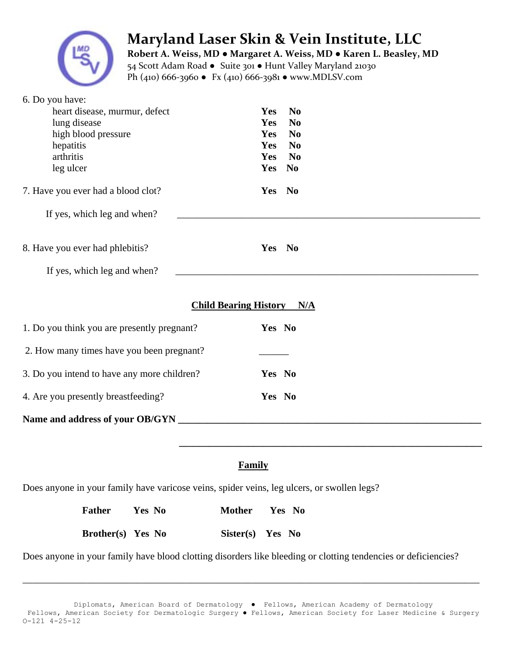

## **Maryland Laser Skin & Vein Institute, LLC**

 **Robert A. Weiss, MD ● Margaret A. Weiss, MD ● Karen L. Beasley, MD** 54 Scott Adam Road ● Suite 301 ● Hunt Valley Maryland 21030 Ph (410) 666‐3960 ● Fx (410) 666‐3981 ● www.MDLSV.com

| 6. Do you have:                                                                            |                                  |                                  |  |  |
|--------------------------------------------------------------------------------------------|----------------------------------|----------------------------------|--|--|
| heart disease, murmur, defect                                                              | <b>Yes</b>                       | N <sub>0</sub>                   |  |  |
| lung disease<br>high blood pressure                                                        | Yes<br>Yes                       | N <sub>0</sub><br>N <sub>0</sub> |  |  |
| hepatitis                                                                                  | Yes                              | N <sub>0</sub>                   |  |  |
| arthritis                                                                                  | Yes                              | N <sub>0</sub>                   |  |  |
| leg ulcer                                                                                  | Yes                              | $\mathbf{N}\mathbf{0}$           |  |  |
| 7. Have you ever had a blood clot?                                                         |                                  | Yes No                           |  |  |
| If yes, which leg and when?                                                                |                                  |                                  |  |  |
| 8. Have you ever had phlebitis?                                                            |                                  | Yes No                           |  |  |
| If yes, which leg and when?                                                                |                                  |                                  |  |  |
| 1. Do you think you are presently pregnant?                                                | <b>Child Bearing History N/A</b> | Yes No                           |  |  |
| 2. How many times have you been pregnant?                                                  |                                  |                                  |  |  |
| 3. Do you intend to have any more children?                                                |                                  | Yes No                           |  |  |
| 4. Are you presently breastfeeding?                                                        |                                  | Yes No                           |  |  |
|                                                                                            |                                  |                                  |  |  |
|                                                                                            |                                  |                                  |  |  |
| <b>Family</b>                                                                              |                                  |                                  |  |  |
| Does anyone in your family have varicose veins, spider veins, leg ulcers, or swollen legs? |                                  |                                  |  |  |
| <b>Father</b><br>Yes No                                                                    | <b>Mother</b>                    | Yes No                           |  |  |

Does anyone in your family have blood clotting disorders like bleeding or clotting tendencies or deficiencies?

**Brother(s) Yes No Sister(s) Yes No** 

 $\overline{\phantom{a}}$  , and the contribution of the contribution of the contribution of the contribution of the contribution of the contribution of the contribution of the contribution of the contribution of the contribution of the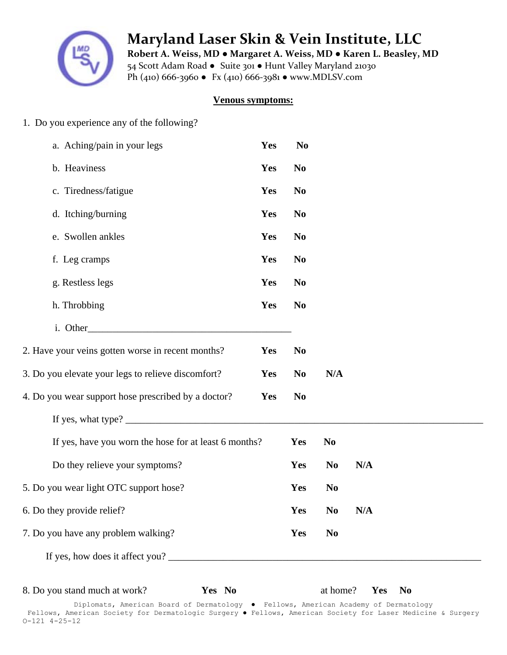

 **Maryland Laser Skin & Vein Institute, LLC**

 **Robert A. Weiss, MD ● Margaret A. Weiss, MD ● Karen L. Beasley, MD** 54 Scott Adam Road ● Suite 301 ● Hunt Valley Maryland 21030 Ph (410) 666‐3960 ● Fx (410) 666‐3981 ● www.MDLSV.com

## **Venous symptoms:**

1. Do you experience any of the following?

| a. Aching/pain in your legs                                                     | Yes | N <sub>0</sub> |                |     |           |  |
|---------------------------------------------------------------------------------|-----|----------------|----------------|-----|-----------|--|
| b. Heaviness                                                                    | Yes | N <sub>0</sub> |                |     |           |  |
| c. Tiredness/fatigue                                                            | Yes | N <sub>0</sub> |                |     |           |  |
| d. Itching/burning                                                              | Yes | N <sub>0</sub> |                |     |           |  |
| e. Swollen ankles                                                               | Yes | N <sub>0</sub> |                |     |           |  |
| f. Leg cramps                                                                   | Yes | N <sub>0</sub> |                |     |           |  |
| g. Restless legs                                                                | Yes | N <sub>0</sub> |                |     |           |  |
| h. Throbbing                                                                    | Yes | N <sub>0</sub> |                |     |           |  |
|                                                                                 |     |                |                |     |           |  |
| 2. Have your veins gotten worse in recent months?                               | Yes | N <sub>0</sub> |                |     |           |  |
| 3. Do you elevate your legs to relieve discomfort?                              | Yes | N <sub>0</sub> | N/A            |     |           |  |
| 4. Do you wear support hose prescribed by a doctor?                             | Yes | N <sub>0</sub> |                |     |           |  |
| If yes, what type? $\frac{1}{\sqrt{1-\frac{1}{2}}}\left\{1-\frac{1}{2}\right\}$ |     |                |                |     |           |  |
| If yes, have you worn the hose for at least 6 months?                           |     | Yes            | N <sub>0</sub> |     |           |  |
| Do they relieve your symptoms?                                                  |     | Yes            | N <sub>0</sub> | N/A |           |  |
| 5. Do you wear light OTC support hose?                                          |     | Yes            | N <sub>0</sub> |     |           |  |
| 6. Do they provide relief?                                                      |     | Yes            | N <sub>0</sub> | N/A |           |  |
| 7. Do you have any problem walking?                                             |     | Yes            | N <sub>0</sub> |     |           |  |
| If yes, how does it affect you?                                                 |     |                |                |     |           |  |
|                                                                                 |     |                |                |     |           |  |
| 8. Do you stand much at work?<br>Yes No                                         |     |                | at home?       | Yes | <b>No</b> |  |